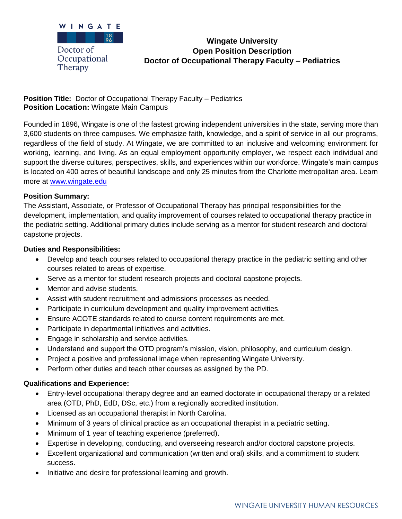

# **Wingate University Open Position Description Doctor of Occupational Therapy Faculty – Pediatrics**

### **Position Title:** Doctor of Occupational Therapy Faculty – Pediatrics **Position Location:** Wingate Main Campus

Founded in 1896, Wingate is one of the fastest growing independent universities in the state, serving more than 3,600 students on three campuses. We emphasize faith, knowledge, and a spirit of service in all our programs, regardless of the field of study. At Wingate, we are committed to an inclusive and welcoming environment for working, learning, and living. As an equal employment opportunity employer, we respect each individual and support the diverse cultures, perspectives, skills, and experiences within our workforce. Wingate's main campus is located on 400 acres of beautiful landscape and only 25 minutes from the Charlotte metropolitan area. Learn more at [www.wingate.edu](http://www.wingate/edu)

### **Position Summary:**

The Assistant, Associate, or Professor of Occupational Therapy has principal responsibilities for the development, implementation, and quality improvement of courses related to occupational therapy practice in the pediatric setting. Additional primary duties include serving as a mentor for student research and doctoral capstone projects.

#### **Duties and Responsibilities:**

- Develop and teach courses related to occupational therapy practice in the pediatric setting and other courses related to areas of expertise.
- Serve as a mentor for student research projects and doctoral capstone projects.
- Mentor and advise students.
- Assist with student recruitment and admissions processes as needed.
- Participate in curriculum development and quality improvement activities.
- Ensure ACOTE standards related to course content requirements are met.
- Participate in departmental initiatives and activities.
- Engage in scholarship and service activities.
- Understand and support the OTD program's mission, vision, philosophy, and curriculum design.
- Project a positive and professional image when representing Wingate University.
- Perform other duties and teach other courses as assigned by the PD.

## **Qualifications and Experience:**

- Entry-level occupational therapy degree and an earned doctorate in occupational therapy or a related area (OTD, PhD, EdD, DSc, etc.) from a regionally accredited institution.
- Licensed as an occupational therapist in North Carolina.
- Minimum of 3 years of clinical practice as an occupational therapist in a pediatric setting.
- Minimum of 1 year of teaching experience (preferred).
- Expertise in developing, conducting, and overseeing research and/or doctoral capstone projects.
- Excellent organizational and communication (written and oral) skills, and a commitment to student success.
- Initiative and desire for professional learning and growth.